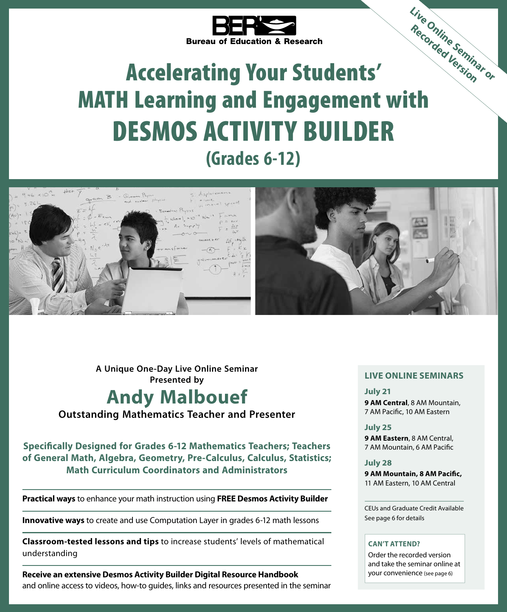

# Accelerating Your Students' Bureau of Education w....<br> **Accelerating Your Students'**<br>
MATH Learning and Engagement with DESMOS ACTIVITY BUILDER **(Grades 6-12) Live Online Seminar or Recorded Version**



**A Unique One-Day Live Online Seminar Presented by**

# **Andy Malbouef**

**Outstanding Mathematics Teacher and Presenter**

**Specifically Designed for Grades 6-12 Mathematics Teachers; Teachers of General Math, Algebra, Geometry, Pre-Calculus, Calculus, Statistics; Math Curriculum Coordinators and Administrators**

**Practical ways** to enhance your math instruction using **FREE Desmos Activity Builder**

**Innovative ways** to create and use Computation Layer in grades 6-12 math lessons

**Classroom-tested lessons and tips** to increase students' levels of mathematical understanding

**Receive an extensive Desmos Activity Builder Digital Resource Handbook** and online access to videos, how-to guides, links and resources presented in the seminar

### **LIVE ONLINE SEMINARS**

**July 21 9 AM Central**, 8 AM Mountain, 7 AM Pacific, 10 AM Eastern

### **July 25**

**9 AM Eastern**, 8 AM Central, 7 AM Mountain, 6 AM Pacific

**July 28 9 AM Mountain, 8 AM Pacific,** 11 AM Eastern, 10 AM Central

CEUs and Graduate Credit Available See page 6 for details

### **CAN'T ATTEND?**

Order the recorded version and take the seminar online at your convenience (see page 6)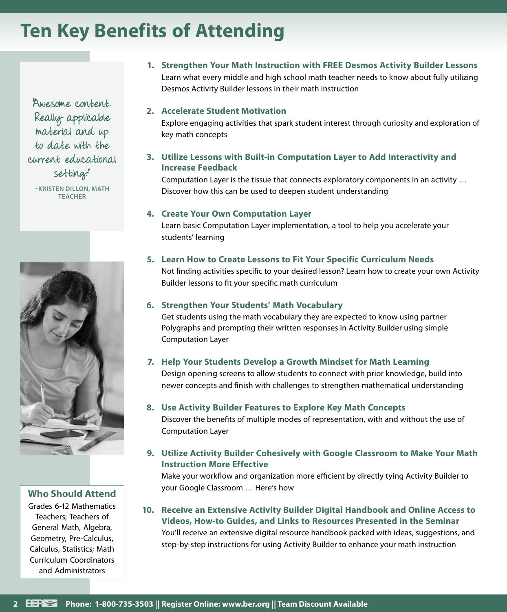# **Ten Key Benefits of Attending**

"Awesome content. Really applicable material and up to date with the current educational setting."

**–KRISTEN DILLON, MATH TEACHER**



**Who Should Attend**

Grades 6-12 Mathematics Teachers; Teachers of General Math, Algebra, Geometry, Pre-Calculus, Calculus, Statistics; Math Curriculum Coordinators and Administrators

**1. Strengthen Your Math Instruction with FREE Desmos Activity Builder Lessons** Learn what every middle and high school math teacher needs to know about fully utilizing Desmos Activity Builder lessons in their math instruction

### **2. Accelerate Student Motivation**

Explore engaging activities that spark student interest through curiosity and exploration of key math concepts

**3. Utilize Lessons with Built-in Computation Layer to Add Interactivity and Increase Feedback**

Computation Layer is the tissue that connects exploratory components in an activity … Discover how this can be used to deepen student understanding

### **4. Create Your Own Computation Layer**

Learn basic Computation Layer implementation, a tool to help you accelerate your students' learning

### **5. Learn How to Create Lessons to Fit Your Specific Curriculum Needs**

Not finding activities specific to your desired lesson? Learn how to create your own Activity Builder lessons to fit your specific math curriculum

### **6. Strengthen Your Students' Math Vocabulary**

Get students using the math vocabulary they are expected to know using partner Polygraphs and prompting their written responses in Activity Builder using simple Computation Layer

### **7. Help Your Students Develop a Growth Mindset for Math Learning**

Design opening screens to allow students to connect with prior knowledge, build into newer concepts and finish with challenges to strengthen mathematical understanding

### **8. Use Activity Builder Features to Explore Key Math Concepts**

Discover the benefits of multiple modes of representation, with and without the use of Computation Layer

### **9. Utilize Activity Builder Cohesively with Google Classroom to Make Your Math Instruction More Effective**

Make your workflow and organization more efficient by directly tying Activity Builder to your Google Classroom … Here's how

**10. Receive an Extensive Activity Builder Digital Handbook and Online Access to Videos, How-to Guides, and Links to Resources Presented in the Seminar** You'll receive an extensive digital resource handbook packed with ideas, suggestions, and step-by-step instructions for using Activity Builder to enhance your math instruction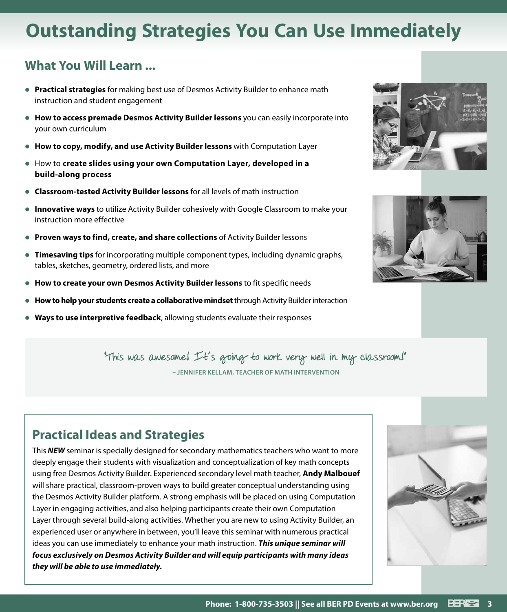# **Outstanding Strategies You Can Use Immediately**

### **What You Will Learn ...**

- **Practical strategies** for making best use of Desmos Activity Builder to enhance math instruction and student engagement
- **How to access premade Desmos Activity Builder lessons** you can easily incorporate into your own curriculum
- **How to copy, modify, and use Activity Builder lessons** with Computation Layer
- **How to create slides using your own Computation Layer, developed in a build-along process**
- **Classroom-tested Activity Builder lessons** for all levels of math instruction
- **Innovative ways** to utilize Activity Builder cohesively with Google Classroom to make your instruction more effective
- **Proven ways to find, create, and share collections** of Activity Builder lessons
- **Timesaving tips** for incorporating multiple component types, including dynamic graphs, tables, sketches, geometry, ordered lists, and more
- **How to create your own Desmos Activity Builder lessons** to fit specific needs
- **How to help your students create a collaborative mindset** through Activity Builder interaction
- **Ways to use interpretive feedback**, allowing students evaluate their responses





"This was awesome! It's going to work very well in my classroom!" **– JENNIFER KELLAM, TEACHER OF MATH INTERVENTION**

### **Practical Ideas and Strategies**

This *NEW* seminar is specially designed for secondary mathematics teachers who want to more deeply engage their students with visualization and conceptualization of key math concepts using free Desmos Activity Builder. Experienced secondary level math teacher, **Andy Malbouef** will share practical, classroom-proven ways to build greater conceptual understanding using the Desmos Activity Builder platform. A strong emphasis will be placed on using Computation Layer in engaging activities, and also helping participants create their own Computation Layer through several build-along activities. Whether you are new to using Activity Builder, an experienced user or anywhere in between, you'll leave this seminar with numerous practical ideas you can use immediately to enhance your math instruction. *This unique seminar will focus exclusively on Desmos Activity Builder and will equip participants with many ideas they will be able to use immediately.*

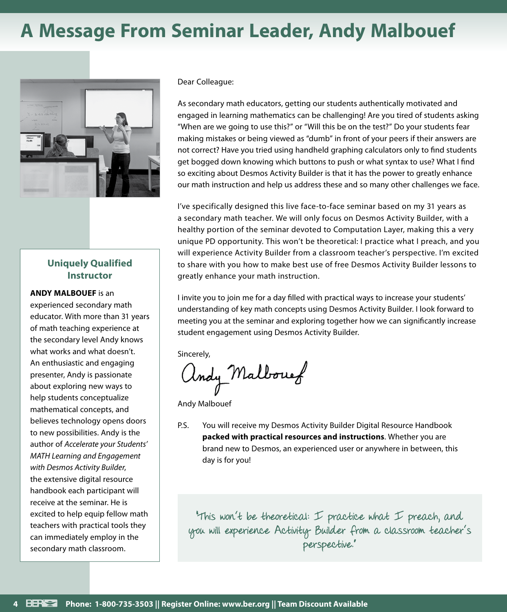# **A Message From Seminar Leader, Andy Malbouef**



### **Uniquely Qualified Instructor**

### **ANDY MALBOUEF** is an

experienced secondary math educator. With more than 31 years of math teaching experience at the secondary level Andy knows what works and what doesn't. An enthusiastic and engaging presenter, Andy is passionate about exploring new ways to help students conceptualize mathematical concepts, and believes technology opens doors to new possibilities. Andy is the author of *Accelerate your Students' MATH Learning and Engagement with Desmos Activity Builder*, the extensive digital resource handbook each participant will receive at the seminar. He is excited to help equip fellow math teachers with practical tools they can immediately employ in the secondary math classroom.

Dear Colleague:

As secondary math educators, getting our students authentically motivated and engaged in learning mathematics can be challenging! Are you tired of students asking "When are we going to use this?" or "Will this be on the test?" Do your students fear making mistakes or being viewed as "dumb" in front of your peers if their answers are not correct? Have you tried using handheld graphing calculators only to find students get bogged down knowing which buttons to push or what syntax to use? What I find so exciting about Desmos Activity Builder is that it has the power to greatly enhance our math instruction and help us address these and so many other challenges we face.

I've specifically designed this live face-to-face seminar based on my 31 years as a secondary math teacher. We will only focus on Desmos Activity Builder, with a healthy portion of the seminar devoted to Computation Layer, making this a very unique PD opportunity. This won't be theoretical: I practice what I preach, and you will experience Activity Builder from a classroom teacher's perspective. I'm excited to share with you how to make best use of free Desmos Activity Builder lessons to greatly enhance your math instruction.

I invite you to join me for a day filled with practical ways to increase your students' understanding of key math concepts using Desmos Activity Builder. I look forward to meeting you at the seminar and exploring together how we can significantly increase student engagement using Desmos Activity Builder.

Sincerely,

andy Malbourg

Andy Malbouef

P.S. You will receive my Desmos Activity Builder Digital Resource Handbook **packed with practical resources and instructions**. Whether you are brand new to Desmos, an experienced user or anywhere in between, this day is for you!

"This won't be theoretical: I practice what I preach, and you will experience Activity Builder from a classroom teacher's perspective."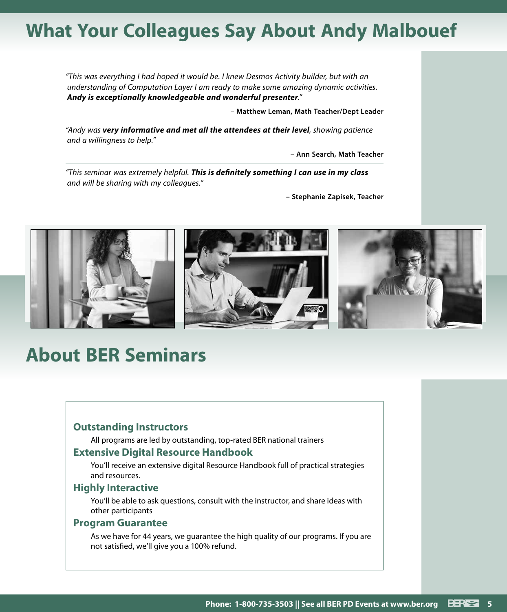# **What Your Colleagues Say About Andy Malbouef**

*"This was everything I had hoped it would be. I knew Desmos Activity builder, but with an understanding of Computation Layer I am ready to make some amazing dynamic activities. Andy is exceptionally knowledgeable and wonderful presenter."*

**– Matthew Leman, Math Teacher/Dept Leader**

*"Andy was very informative and met all the attendees at their level, showing patience and a willingness to help."*

**– Ann Search, Math Teacher**

*"This seminar was extremely helpful. This is definitely something I can use in my class and will be sharing with my colleagues."*

**– Stephanie Zapisek, Teacher**



# **About BER Seminars**

### **Outstanding Instructors**

All programs are led by outstanding, top-rated BER national trainers

### **Extensive Digital Resource Handbook**

You'll receive an extensive digital Resource Handbook full of practical strategies and resources.

### **Highly Interactive**

You'll be able to ask questions, consult with the instructor, and share ideas with other participants

### **Program Guarantee**

As we have for 44 years, we guarantee the high quality of our programs. If you are not satisfied, we'll give you a 100% refund.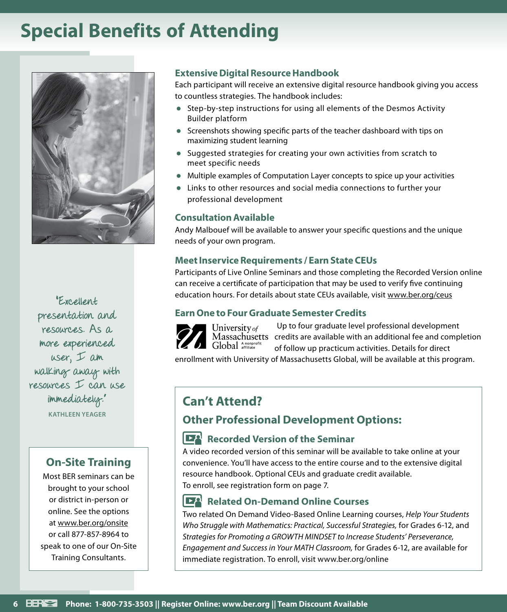# **Special Benefits of Attending**



"Excellent presentation and resources. As a more experienced user, I am walking away with resources I can use immediately." **KATHLEEN YEAGER**

### **On-Site Training**

Most BER seminars can be brought to your school or district in-person or online. See the options at www.ber.org/onsite or call 877-857-8964 to speak to one of our On-Site Training Consultants.

### **Extensive Digital Resource Handbook**

Each participant will receive an extensive digital resource handbook giving you access to countless strategies. The handbook includes:

- Step-by-step instructions for using all elements of the Desmos Activity Builder platform
- Screenshots showing specific parts of the teacher dashboard with tips on maximizing student learning
- Suggested strategies for creating your own activities from scratch to meet specific needs
- Multiple examples of Computation Layer concepts to spice up your activities
- Links to other resources and social media connections to further your professional development

### **Consultation Available**

Andy Malbouef will be available to answer your specific questions and the unique needs of your own program.

### **Meet Inservice Requirements / Earn State CEUs**

Participants of Live Online Seminars and those completing the Recorded Version online can receive a certificate of participation that may be used to verify five continuing education hours. For details about state CEUs available, visit www.ber.org/ceus

### **Earn One to Four Graduate Semester Credits**



Up to four graduate level professional development credits are available with an additional fee and completion of follow up practicum activities. Details for direct

enrollment with University of Massachusetts Global, will be available at this program.

### **Can't Attend?**

### **Other Professional Development Options:**

### **Recorded Version of the Seminar**

A video recorded version of this seminar will be available to take online at your convenience. You'll have access to the entire course and to the extensive digital resource handbook. Optional CEUs and graduate credit available. To enroll, see registration form on page 7.

### **Related On-Demand Online Courses**

Two related On Demand Video-Based Online Learning courses, *Help Your Students Who Struggle with Mathematics: Practical, Successful Strategies,* for Grades 6-12, and *Strategies for Promoting a GROWTH MINDSET to Increase Students' Perseverance, Engagement and Success in Your MATH Classroom,* for Grades 6-12, are available for immediate registration. To enroll, visit www.ber.org/online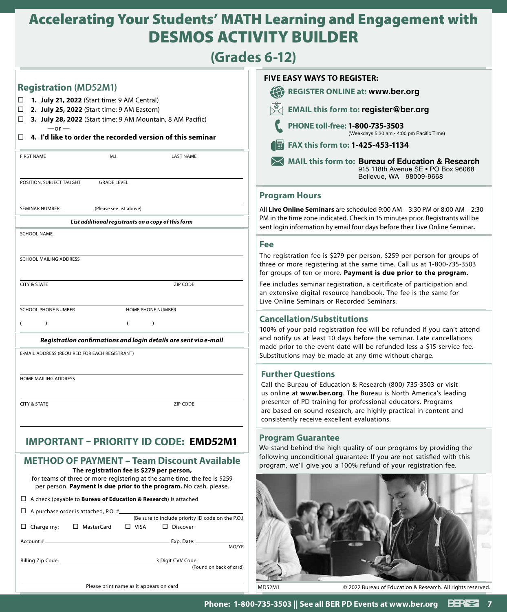# Accelerating Your Students' MATH Learning and Engagement with DESMOS ACTIVITY BUILDER

## **(Grades 6-12)**

| (Grades 6-12)                                                                                                                                                                                                                                                                                                                                                                                                                                                                                                                                                                                             |                                                                                                                                                                                                                                                                                                                                                                                                                       |
|-----------------------------------------------------------------------------------------------------------------------------------------------------------------------------------------------------------------------------------------------------------------------------------------------------------------------------------------------------------------------------------------------------------------------------------------------------------------------------------------------------------------------------------------------------------------------------------------------------------|-----------------------------------------------------------------------------------------------------------------------------------------------------------------------------------------------------------------------------------------------------------------------------------------------------------------------------------------------------------------------------------------------------------------------|
| <b>Registration (MD52M1)</b><br>1. July 21, 2022 (Start time: 9 AM Central)<br>2. July 25, 2022 (Start time: 9 AM Eastern)<br>□<br>3. July 28, 2022 (Start time: 9 AM Mountain, 8 AM Pacific)<br>□<br>$-$ or $-$<br>4. I'd like to order the recorded version of this seminar<br>□<br><b>FIRST NAME</b><br>M.I.<br><b>LAST NAME</b><br><b>GRADE LEVEL</b><br>POSITION, SUBJECT TAUGHT                                                                                                                                                                                                                     | <b>FIVE EASY WAYS TO REGISTER:</b><br><b>REGISTER ONLINE at: www.ber.org</b><br><b>EMAIL this form to: register@ber.org</b><br>PHONE toll-free: 1-800-735-3503<br>(Weekdays 5:30 am - 4:00 pm Pacific Time)<br>FAX this form to: 1-425-453-1134<br>MAIL this form to: Bureau of Education & Research<br>915 118th Avenue SE . PO Box 96068<br>Bellevue, WA 98009-9668                                                 |
| SEMINAR NUMBER: _<br>(Please see list above)<br>List additional registrants on a copy of this form<br><b>SCHOOL NAME</b>                                                                                                                                                                                                                                                                                                                                                                                                                                                                                  | <b>Program Hours</b><br>All Live Online Seminars are scheduled $9:00$ AM $-$ 3:30 PM or 8:00 AM $-$ 2:30<br>PM in the time zone indicated. Check in 15 minutes prior. Registrants will be<br>sent login information by email four days before their Live Online Seminar.                                                                                                                                              |
| SCHOOL MAILING ADDRESS<br><b>CITY &amp; STATE</b><br>ZIP CODE                                                                                                                                                                                                                                                                                                                                                                                                                                                                                                                                             | Fee<br>The registration fee is \$279 per person, \$259 per person for groups of<br>three or more registering at the same time. Call us at 1-800-735-3503<br>for groups of ten or more. Payment is due prior to the program.<br>Fee includes seminar registration, a certificate of participation and<br>an extensive digital resource handbook. The fee is the same for<br>Live Online Seminars or Recorded Seminars. |
| <b>SCHOOL PHONE NUMBER</b><br>HOME PHONE NUMBER<br>$\lambda$<br>€<br>$\lambda$<br>Registration confirmations and login details are sent via e-mail<br>E-MAIL ADDRESS (REQUIRED FOR EACH REGISTRANT)                                                                                                                                                                                                                                                                                                                                                                                                       | <b>Cancellation/Substitutions</b><br>100% of your paid registration fee will be refunded if you can't attend<br>and notify us at least 10 days before the seminar. Late cancellations<br>made prior to the event date will be refunded less a \$15 service fee.<br>Substitutions may be made at any time without charge.                                                                                              |
| HOME MAILING ADDRESS<br><b>CITY &amp; STATE</b><br>ZIP CODE                                                                                                                                                                                                                                                                                                                                                                                                                                                                                                                                               | <b>Further Questions</b><br>Call the Bureau of Education & Research (800) 735-3503 or visit<br>us online at www.ber.org. The Bureau is North America's leading<br>presenter of PD training for professional educators. Programs<br>are based on sound research, are highly practical in content and<br>consistently receive excellent evaluations.                                                                    |
| <b>IMPORTANT - PRIORITY ID CODE: EMD52M1</b><br><b>METHOD OF PAYMENT - Team Discount Available</b><br>The registration fee is \$279 per person,<br>for teams of three or more registering at the same time, the fee is \$259<br>per person. Payment is due prior to the program. No cash, please.<br>$\Box$ A check (payable to <b>Bureau of Education &amp; Research</b> ) is attached<br>A purchase order is attached, P.O. #<br>$\Box$<br>(Be sure to include priority ID code on the P.O.)<br>$\Box$ VISA<br>$\Box$ Charge my:<br>□ MasterCard<br>$\Box$ Discover<br>MO/YR<br>(Found on back of card) | <b>Program Guarantee</b><br>We stand behind the high quality of our programs by providing the<br>following unconditional guarantee: If you are not satisfied with this<br>program, we'll give you a 100% refund of your registration fee.                                                                                                                                                                             |
| Please print name as it appears on card                                                                                                                                                                                                                                                                                                                                                                                                                                                                                                                                                                   | © 2022 Bureau of Education & Research. All rights reserved.<br><b>MD52M1</b>                                                                                                                                                                                                                                                                                                                                          |

**Phone: 1-800-735-3503 || See all BER PD Events at www.ber.org 7**